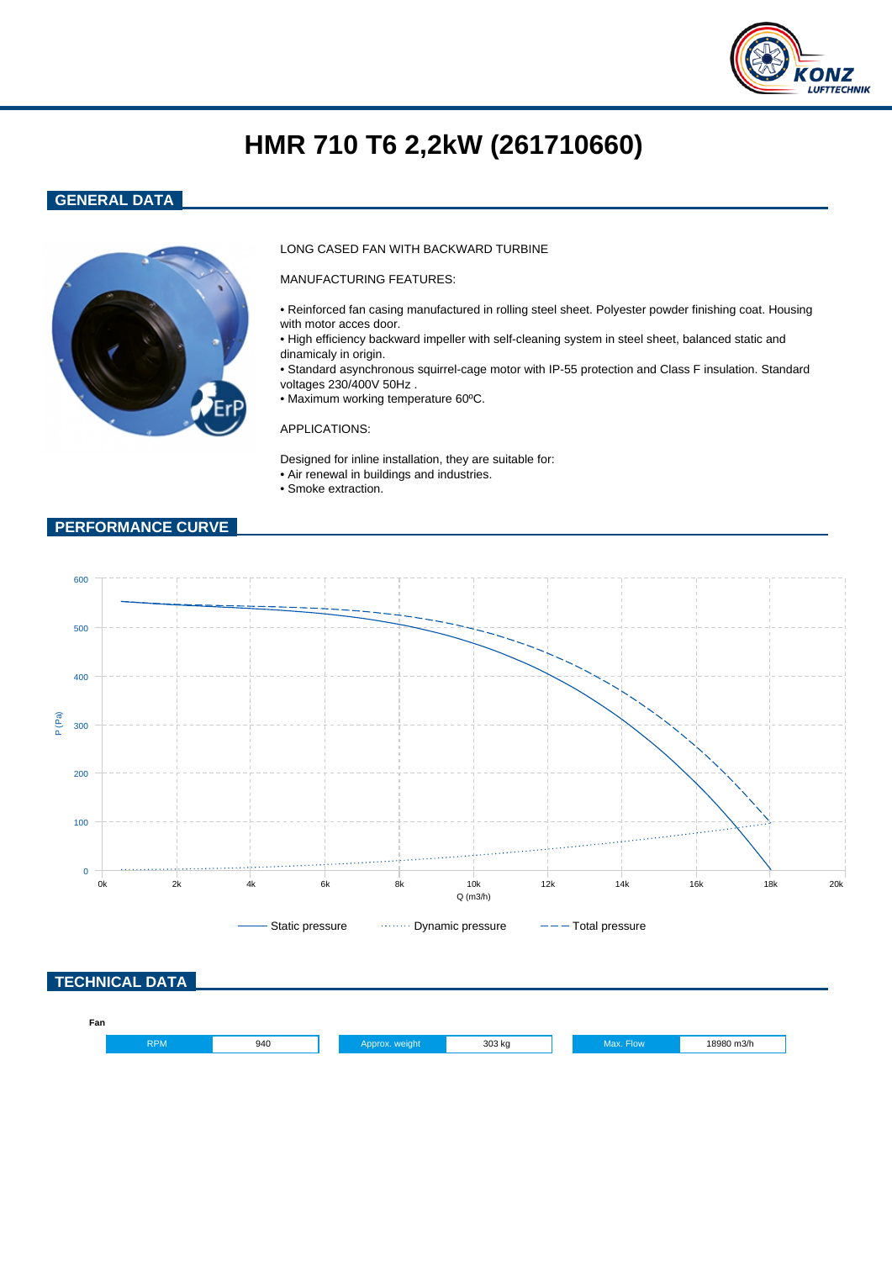

# **HMR 710 T6 2,2kW (261710660)**

## **GENERAL DATA**



### LONG CASED FAN WITH BACKWARD TURBINE

MANUFACTURING FEATURES:

- Reinforced fan casing manufactured in rolling steel sheet. Polyester powder finishing coat. Housing with motor acces door.
- High efficiency backward impeller with self-cleaning system in steel sheet, balanced static and dinamicaly in origin.
- Standard asynchronous squirrel-cage motor with IP-55 protection and Class F insulation. Standard voltages 230/400V 50Hz .
- Maximum working temperature 60ºC.

#### APPLICATIONS:

Designed for inline installation, they are suitable for: • Air renewal in buildings and industries.

• Smoke extraction.

## **PERFORMANCE CURVE**



| -<br>Fan |            |     |          |        |           |           |
|----------|------------|-----|----------|--------|-----------|-----------|
|          | <b>NEW</b> | 940 | A. WURIL | 303 kg | Max. Flow | 9980 m3/h |
|          |            |     |          |        |           |           |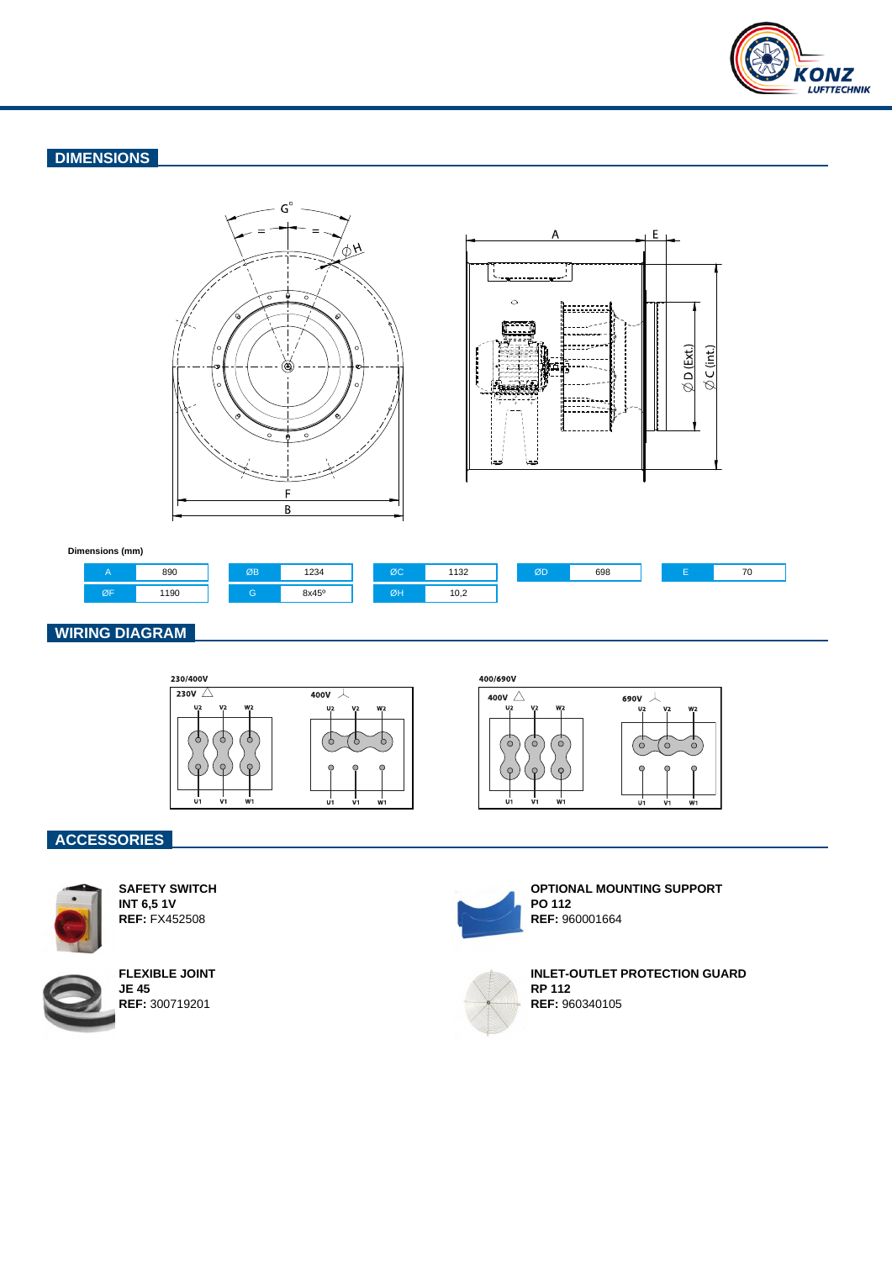

# **DIMENSIONS**





#### **Dimensions (mm)**



## **WIRING DIAGRAM**



400/690V



# **ACCESSORIES**



**SAFETY SWITCH INT 6,5 1V REF:** FX452508



**FLEXIBLE JOINT JE 45 REF:** 300719201



**OPTIONAL MOUNTING SUPPORT PO 112 REF:** 960001664



**INLET-OUTLET PROTECTION GUARD RP 112 REF:** 960340105